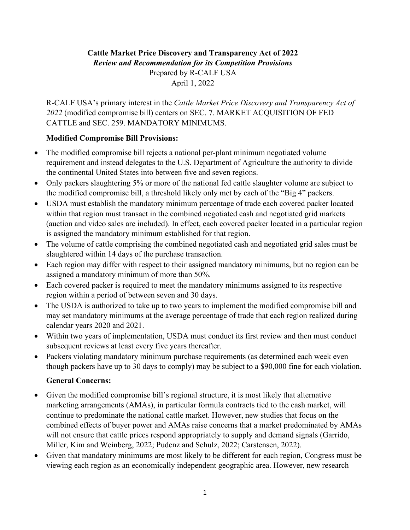## **Cattle Market Price Discovery and Transparency Act of 2022** *Review and Recommendation for its Competition Provisions*  Prepared by R-CALF USA April 1, 2022

R-CALF USA's primary interest in the *Cattle Market Price Discovery and Transparency Act of 2022* (modified compromise bill) centers on SEC. 7. MARKET ACQUISITION OF FED CATTLE and SEC. 259. MANDATORY MINIMUMS.

## **Modified Compromise Bill Provisions:**

- The modified compromise bill rejects a national per-plant minimum negotiated volume requirement and instead delegates to the U.S. Department of Agriculture the authority to divide the continental United States into between five and seven regions.
- Only packers slaughtering 5% or more of the national fed cattle slaughter volume are subject to the modified compromise bill, a threshold likely only met by each of the "Big 4" packers.
- USDA must establish the mandatory minimum percentage of trade each covered packer located within that region must transact in the combined negotiated cash and negotiated grid markets (auction and video sales are included). In effect, each covered packer located in a particular region is assigned the mandatory minimum established for that region.
- The volume of cattle comprising the combined negotiated cash and negotiated grid sales must be slaughtered within 14 days of the purchase transaction.
- Each region may differ with respect to their assigned mandatory minimums, but no region can be assigned a mandatory minimum of more than 50%.
- Each covered packer is required to meet the mandatory minimums assigned to its respective region within a period of between seven and 30 days.
- The USDA is authorized to take up to two years to implement the modified compromise bill and may set mandatory minimums at the average percentage of trade that each region realized during calendar years 2020 and 2021.
- Within two years of implementation, USDA must conduct its first review and then must conduct subsequent reviews at least every five years thereafter.
- Packers violating mandatory minimum purchase requirements (as determined each week even though packers have up to 30 days to comply) may be subject to a \$90,000 fine for each violation.

## **General Concerns:**

- Given the modified compromise bill's regional structure, it is most likely that alternative marketing arrangements (AMAs), in particular formula contracts tied to the cash market, will continue to predominate the national cattle market. However, new studies that focus on the combined effects of buyer power and AMAs raise concerns that a market predominated by AMAs will not ensure that cattle prices respond appropriately to supply and demand signals (Garrido, Miller, Kim and Weinberg, 2022; Pudenz and Schulz, 2022; Carstensen, 2022).
- Given that mandatory minimums are most likely to be different for each region, Congress must be viewing each region as an economically independent geographic area. However, new research